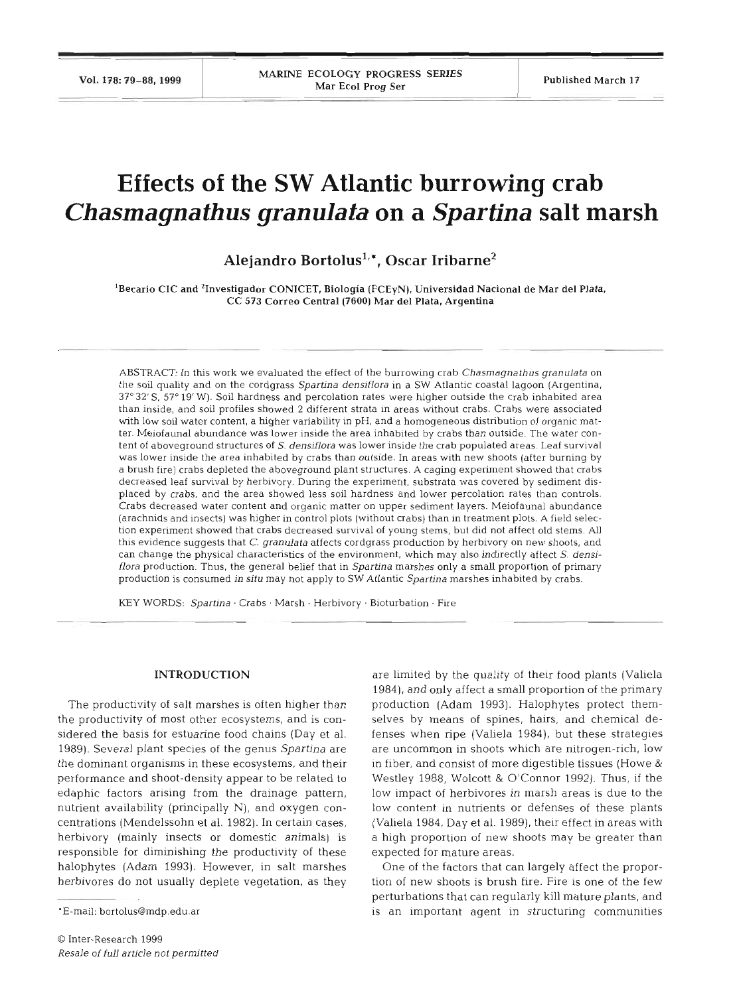# **Effects of the SW Atlantic burrowing crab**  *Chasmagnathus granulata* **on a** *Spartina* **salt marsh**

Alejandro Bortolus<sup>1,\*</sup>, Oscar Iribarne<sup>2</sup>

<sup>1</sup>Becario CIC and <sup>2</sup>Investigador CONICET, Biología (FCEyN), Universidad Nacional de Mar del Plata, CC **573** Correo Central **(7600)** Mar del Plata, Argentina

ABSTRACT: In this work we evaluated the effect of the burrowing crab Chasmagnathus granulata on the soil quality and on the cordgrass Spartina densiflora in a SW Atlantic coastal lagoon (Argentina, 37'32'S, 57" 19'W). Soil hardness and percolation rates were higher outside the crab inhabited area than inside, and soil profiles showed **2** different strata In areas without crabs. Crabs were associated with low soil water content, a higher variability in pH, and a homogeneous distribution of organic matter. Meiofaunal abundance was lower inside the area inhabited by crabs than outside. The water content of aboveground structures of S. densiflora was lower inside the crab populated areas. Leaf survival was lower inside the area inhabited by crabs than outside. In areas with new shoots (after burning by a brush flre) crabs depleted the aboveground plant structures. A caging experiment showed that crabs decreased leaf survival by herbivory. During the experiment, substrata was covered by sediment displaced by crabs, and the area showed less soil hardness and lower percolation rates than controls. Crabs decreased water content and organic matter on upper sediment layers. Meiofaunal abundance (arachnids and insects) was higher in control plots (without crabs) than in treatment plots. A field selection experiment showed that crabs decreased survival of young stems, but did not affect old stems. All this evidence suggests that C. granulata affects cordgrass production by herbivory on new shoots, and can change the physical characteristics of the environment, which may also indirectly affect S. densiflora production. Thus, the general belief that in Spartina marshes only a small proportion of primary production is consumed in situ may not apply to SW Atlantic Spartina marshes inhabited by crabs.

KEY WORDS: Spartina · Crabs · Marsh · Herbivory · Bioturbation · Fire

#### **INTRODUCTION**

The productivity of salt marshes is often higher than the productivity of most other ecosystems, and is considered the basis for estuarine food chains (Day et al. 1989). Several plant species of the genus Spartina are the dominant organisms in these ecosystems, and their performance and shoot-density appear to be related to edaphic factors arising from the drainage pattern, nutrient availability (principally N), and oxygen concentrations (Mendelssohn et al. 1982). In certain cases, herbivory (mainly insects or domestic animals) is responsible for diminishing the productivity of these halophytes (Adam 1993). However, in salt marshes herbivores do not usually deplete vegetation, as they are limited by the quality of their food plants (Valiela 1984), and only affect a small proportion of the primary production (Adam 1993). Halophytes protect themselves by means of spines, hairs, and chemical defenses when ripe (Valiela 1984), but these strategies are uncommon in shoots which are nitrogen-rich, low in fiber, and consist of more digestible tissues (Howe & Westley 1988, Wolcott & O'Connor 1992). Thus, if the low impact of herbivores in marsh areas is due to the low content in nutrients or defenses of these plants (Valiela 1984, Day et al. 1989), their effect in areas with a high proportion of new shoots may be greater than expected for mature areas.

One of the factors that can largely affect the proportion of new shoots is brush fire. Fire is one of the few perturbations that can regularly kill mature plants, and is an important agent in structuring communities

<sup>\*</sup>E-mail: bortolus@mdp.edu.ar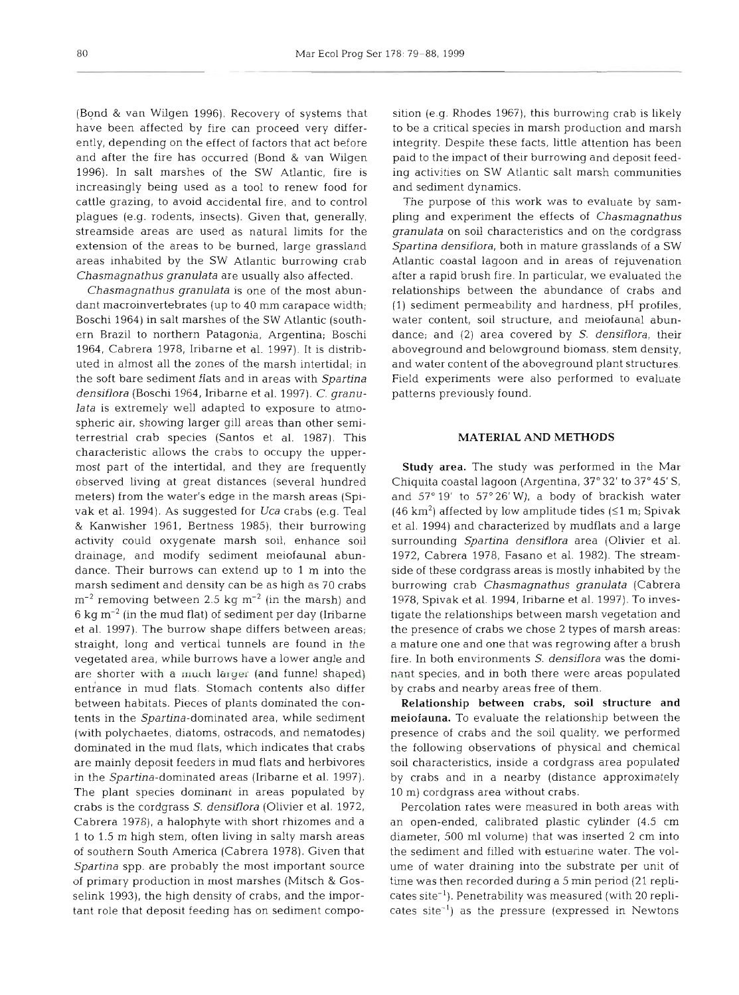(Bond & van Wilgen 1996). Recovery of systems that have been affected by fire can proceed very differently, depending on the effect of factors that act before and after the fire has occurred (Bond & van Wilgen 1996). In salt marshes of the SW Atlantic, fire is increasingly being used as a tool to renew food for cattle grazing, to avoid accidental fire, and to control plagues (e.g. rodents, insects). Given that, generally, streamside areas are used as natural limits for the extension of the areas to be burned, large grassland areas inhabited by the SW Atlantic burrowing crab Chasrnagnathus granulata are usually also affected.

Chasmagnathus granulata is one of the most abundant macroinvertebrates (up to 40 mm carapace width; Boschi 1964) in salt marshes of the SW Atlantic (southern Brazil to northern Patagonia, Argentina; Boschi 1964, Cabrera 1978, Iribarne et al. 1997). It is distributed in almost all the zones of the marsh intertidal; in the soft bare sediment flats and in areas with Spartina densiflora (Boschi 1964, Iribarne et al. 1997). C. granulata is extremely well adapted to exposure to atmospheric air, showing larger gill areas than other semiterrestrial crab species (Santos et al. 1987). This characteristic allows the crabs to occupy the uppermost part of the intertidal, and they are frequently observed living at great distances (several hundred meters) from the water's edge in the marsh areas (Spivak et al. 1994). As suggested for Uca crabs (e.g. Teal & Kanwisher 1961, Bertness 1985), their burrowing activity could oxygenate marsh soil, enhance soil drainage, and modify sediment meiofaunal abundance. Their burrows can extend up to 1 m into the marsh sediment and density can be as high as 70 crabs  $m^{-2}$  removing between 2.5 kg  $m^{-2}$  (in the marsh) and 6 kg  $m^{-2}$  (in the mud flat) of sediment per day (Iribarne et al. 1997). The burrow shape differs between areas; straight, long and vertical tunnels are found in the vegetated area, while burrows have a lower angle and are shorter with a **much** larger (and funnel shaped) entiance in mud flats. Stomach contents also differ between habitats. Pieces of plants dominated the contents in the Spartina-dominated area, while sediment (with polychaetes, diatoms, ostracods, and nematodes) dominated in the mud flats, which indicates that crabs are mainly deposit feeders in mud flats and herbivores in the Spartina-dominated areas (Iribarne et al. 1997). The plant species dominant in areas populated by crabs is the cordgrass *S.* densiflord (Olivier et al. 1972, Cabrera 1978), a halophyte with short rhizomes and a 1 to 1.5 m high stem, often living in salty marsh areas of southern South America (Cabrera 1978). Given that Spartina spp. are probably the most important source of primary production in most marshes (Mitsch & Gosselink 1993), the high density of crabs, and the important role that deposit feeding has on sediment compo-

fition (e.g. Rhodes 1967), this burrowing crab is likely<br>o be a critical species in marsh production and marsh<br>ntegrity. Despite these facts, little attention has been<br>aid to the impact of their burrowing and deposit feed

### **MATERIAL AND METHODS**

**Study area.** The study was performed in the Mar<br>
Chiquita costal lagoon (Argentina, 37° 32' to 37° 45' S,<br>
Chiquita costal lagoon (Argentina, 37° 32' to 37° 45' S,<br>
and 57° 19' to 57° 26' W), a body of brackish water<br>
46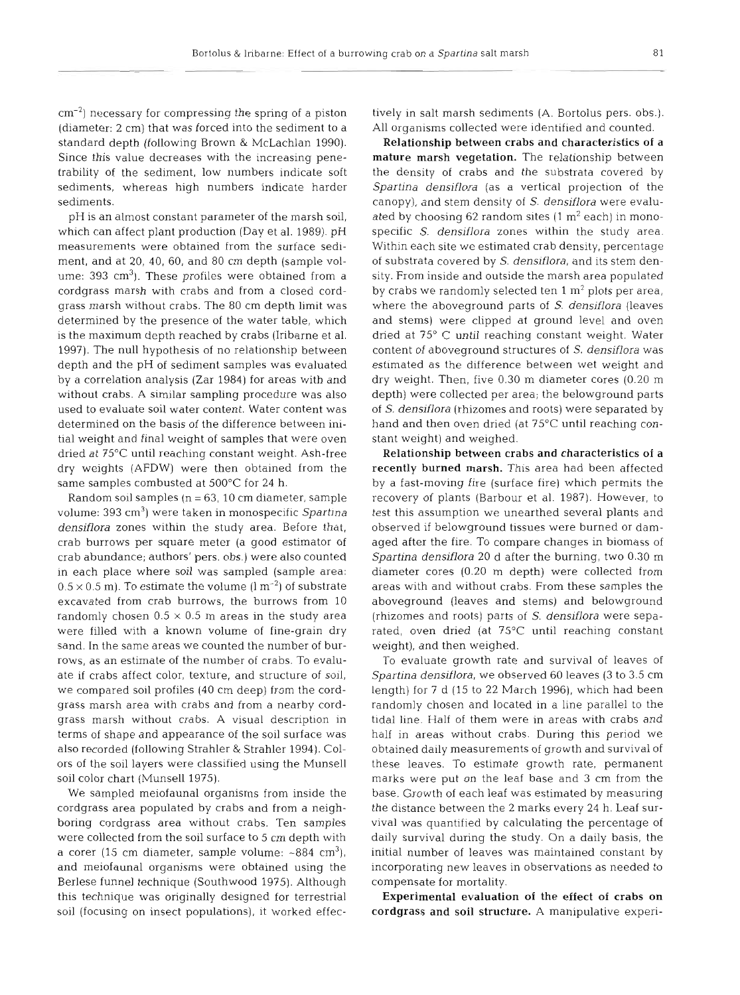$\text{cm}^{-2}$ ) necessary for compressing the spring of a piston (diameter: 2 cm) that was forced into the sediment to a standard depth (following Brown & McLachlan 1990). Since this value decreases with the increasing penetrability of the sediment, low numbers indicate soft sediments, whereas high numbers indicate harder sediments.

pH is an almost constant parameter of the marsh soil, which can affect plant production (Day et al. 1989). pH measurements were obtained from the surface sediment, and at 20, 40, 60, and 80 cm depth (sample volume:  $393 \text{ cm}^3$ ). These profiles were obtained from a cordgrass marsh with crabs and from a closed cordgrass marsh without crabs. The 80 cm depth limit was determined by the presence of the water table, which is the maximum depth reached by crabs (Iribarne et al. 1997). The null hypothesis of no relationship between depth and the pH of sediment samples was evaluated by a correlation analysis (Zar 1984) for areas with and without crabs. A similar sampling procedure was also used to evaluate soil water content. Water content was determined on the basis of the difference between initial weight and final weight of samples that were oven dried at 75°C until reaching constant weight. Ash-free dry weights (AFDW) were then obtained from the same samples combusted at 500°C for 24 h.

Random soil samples  $(n = 63, 10 \text{ cm}$  diameter, sample volume: 393 cm<sup>3</sup>) were taken in monospecific Spartina densiflora zones within the study area. Before that, crab burrows per square meter (a good estimator of crab abundance; authors' pers, obs.) were also counted in each place where soil was sampled (sample area:  $0.5 \times 0.5$  m). To estimate the volume (1 m<sup>-2</sup>) of substrate excavated from crab burrows, the burrows from 10 randomly chosen  $0.5 \times 0.5$  m areas in the study area were filled with a known volume of fine-grain dry sand. In the same areas we counted the number of burrows, as an estimate of the number of crabs. To evaluate if crabs affect color, texture, and structure of soil, we compared soil profiles (40 cm deep) from the cordgrass marsh area with crabs and from a nearby cordgrass marsh without crabs. A visual description in terms of shape and appearance of the soil surface was also recorded (following Strahler & Strahler 1994). Colors of the soil layers were classified using the Munsell soil color chart (Munsell 1975).

We sampled meiofaunal organisms from inside the cordgrass area populated by crabs and from a neighboring cordgrass area without crabs. Ten samples were collected from the soil surface to 5 cm depth with a corer (15 cm diameter, sample volume:  $\sim 884 \, \text{cm}^3$ ), and meiofaunal organisms were obtained using the Berlese funnel technique (Southwood 1975). Although this technique was originally designed for terrestrial soil (focusing on insect populations), it worked effec-

ively in sall mash sections. The Short and mash and mash sections per soles. Relationship between included.<br>
Nall organisms collected were identified and counted.<br> **Relationship between crass and characteristics of and ma**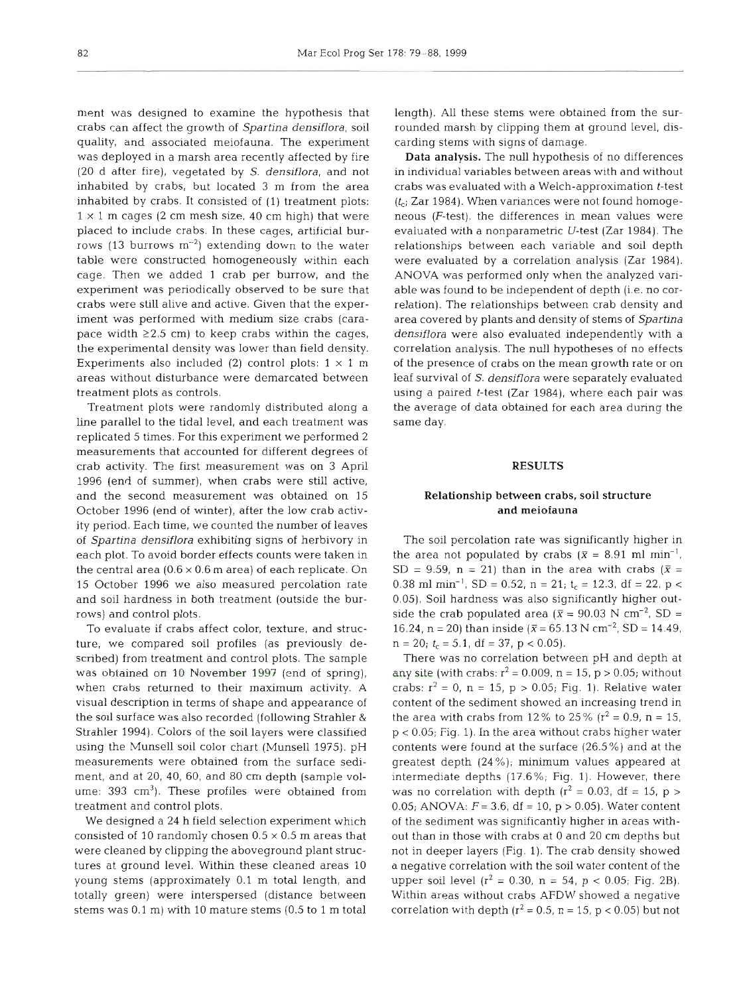ment was designed to examine the hypothesis that crabs can affect the growth of *Spartina densiflora,* soil quality, and associated meiofauna. The experiment was deployed in a marsh area recently affected by fire (20 d after fire), vegetated by *S. densiflora,* and not inhabited by crabs, but located 3 m from the area inhabited by crabs. It consisted of (1) treatment plots:  $1 \times 1$  m cages (2 cm mesh size, 40 cm high) that were placed to include crabs. In these cages, artificial burrows (13 burrows  $m^{-2}$ ) extending down to the water table were constructed homogeneously within each cage. Then we added 1 crab per burrow, and the experiment was periodically observed to be sure that crabs were still alive and active. Given that the experiment was performed with medium size crabs (carapace width  $\geq 2.5$  cm) to keep crabs within the cages, the experimental density was lower than field density. Experiments also included (2) control plots:  $1 \times 1$  m areas without disturbance were demarcated between treatment plots as controls.

Treatment plots were randomly distributed along a line parallel to the tidal level, and each treatment was replicated 5 times. For this experiment we performed 2 measurements that accounted for different degrees of crab activity. The first measurement was on 3 April 1996 (end of summer), when crabs were still active, and the second measurement was obtained on 15 October 1996 (end of winter), after the low crab activity period. Each time, we counted the number of leaves of *Spartina densiflora* exhibiting signs of herbivory in each plot. To avoid border effects counts were taken in the central area (0.6 **X** 0.6 m area) of each replicate. On 15 October 1996 we also measured percolation rate and soil hardness in both treatment (outside the burrows) and control plots.

To evaluate if crabs affect color, texture, and structure, we compared soil profiles (as previously described) from treatment and control plots. The sample was obtained on 10 November 1997 (end of spring), when crabs returned to their maximum activity. A visual description in terms of shape and appearance of the soil surface was also recorded (following Strahler & Strahler 1994). Colors of the soil layers were classified using the Munsell soil color chart (Munsell 1975). pH measurements were obtained from the surface sediment, and at 20, 40, 60, and 80 cm depth (sample volume:  $393 \, \text{cm}^3$ ). These profiles were obtained from treatment and control plots.

We designed a 24 h field selection experiment which consisted of 10 randomly chosen  $0.5 \times 0.5$  m areas that were cleaned by clipping the aboveground plant structures at ground level. Within these cleaned areas 10 young stems (approximately 0.1 m total length, and totally green) were interspersed (distance between stems was 0.1 m) with 10 mature stems (0.5 to 1 m total

length). All these stems were obtained from the surrounded marsh by clipping them at ground level, discarding stems with signs of damage.

Data analysis. The null hypothesis of no differences in individual variables between areas with and without crabs was evaluated with a Welch-approximation t-test *(t<sub>c</sub>*; Zar 1984). When variances were not found homogeneous (F-test), the differences in mean values were evaluated with a nonparametric U-test (Zar 1984). The relationships between each variable and soil depth were evaluated by a correlation analysis (Zar 1984). ANOVA was performed only when the analyzed variable was found to be independent of depth (i.e. no correlation). The relationships between crab density and area covered by plants and density of stems of *Spartina densiflora* were also evaluated independently with a correlation analysis. The null hypotheses of no effects of the presence of crabs on the mean growth rate or on leaf survival of S. *denslflora* were separately evaluated using a paired t-test (Zar 1984), where each pair was the average of data obtained for each area during the same day.

#### **RESULTS**

# Relationship between crabs, soil structure and meiofauna

The soil percolation rate was significantly higher in the area not populated by crabs  $(\bar{x} = 8.91 \text{ ml min}^{-1})$ , SD = 9.59, n = 21) than in the area with crabs  $(\bar{x} =$ 0.38 ml min<sup>-1</sup>, *SD* = 0.52, n = 21; t<sub>c</sub> = 12.3, df = 22, p < 0.05). Soil hardness was also significantly higher outside the crab populated area  $(\bar{x} = 90.03 \text{ N cm}^{-2}, \text{ SD} =$ 16.24, n = 20) than inside  $(\bar{x} = 65.13 \text{ N cm}^{-2}, \text{SD} = 14.49,$  $n = 20$ ;  $t_c = 5.1$ , df = 37, p < 0.05).

There was no correlation between pH and depth at any site (with crabs:  $r^2 = 0.009$ , n = 15, p > 0.05; without crabs:  $r^2 = 0$ , n = 15, p > 0.05; Fig. 1). Relative water content of the sediment showed an increasing trend in the area with crabs from 12% to 25%  $(r^2 = 0.9, n = 15,$ p <sup>&</sup>lt;0.05; Fig. 1). In the area without crabs higher water contents were found at the surface (26.5 %) and at the greatest depth (24%); minimum values appeared at intermediate depths (17.6%; Fig. 1). However, there was no correlation with depth  $(r^2 = 0.03, df = 15, p >$ 0.05; ANOVA:  $F = 3.6$ , df = 10, p > 0.05). Water content of the sediment was significantly higher in areas without than in those with crabs at 0 and 20 cm depths but not in deeper layers (Fig. 1). The crab density showed a negative correlation with the soil water content of the upper soil level  $(r^2 = 0.30, n = 54, p < 0.05;$  Fig. 2B). Within areas without crabs AFDW showed a negative correlation with depth  $(r^2 = 0.5, n = 15, p < 0.05)$  but not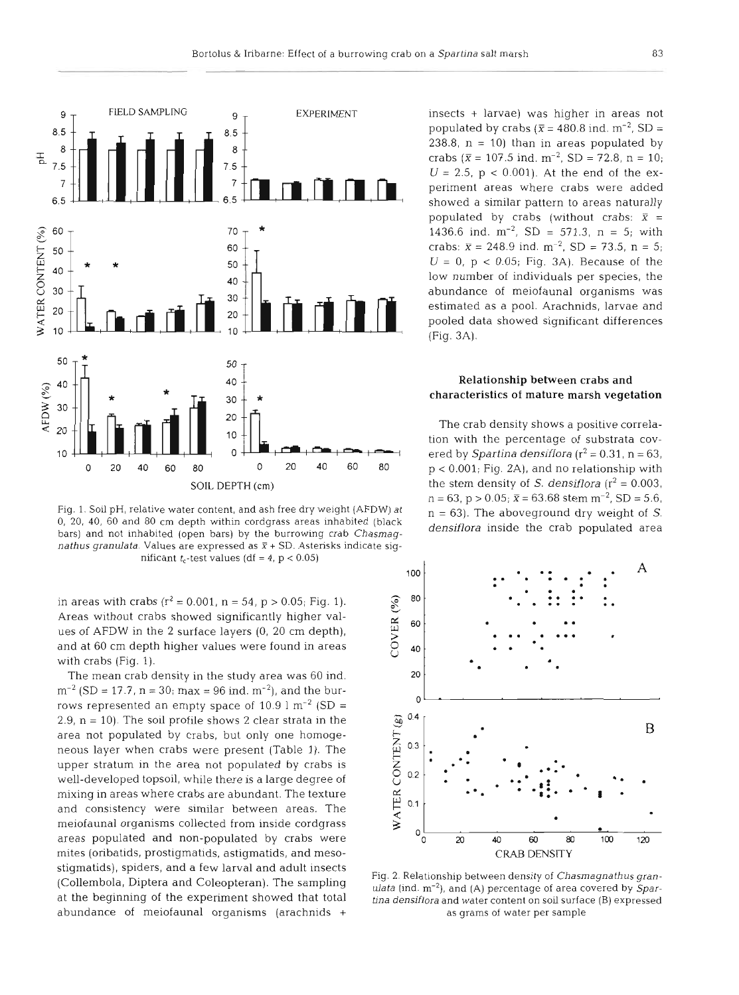

Fig. 1. Soil pH, relative water content, and ash free dry weight (AFDW) at  $n = 63$ ). The aboveground dry weight of S, 0, 20, 40, 60 and 80 cm depth within cordgrass areas inhabited (black densiflora inside the crab popula bars) and not inhabited (open bars) by the burrowing crab *Chasmagnathus granulata.* Values are expressed as **X** <sup>+</sup>SD. Asterisks indicate significant  $t_c$ -test values (df = 4, p < 0.05)

in areas with crabs  $(r^2 = 0.001, n = 54, p > 0.05; Fig. 1)$ . Areas without crabs showed significantly higher val-<br>  $\frac{1}{60}$  **60** ues of AFDW in the 2 surface layers (0, 20 cm depth), and at 60 cm depth higher values were found in areas  $\overline{Q}$  40 with crabs (Fig. 1).

The mean crab density in the study area was 60 ind. **<sup>20</sup> <sup>Y</sup>**meiofaunal organisms collected from inside cordgrass **3 0** areas populated and non-populated by crabs were  $\frac{0}{0}$  **20 40 60 80 120 120** mites (oribatids, prostigmatids, astigmatids, and meso- **CRAB DENSITY**   $m^{-2}$  (SD = 17.7, n = 30; max = 96 ind.  $m^{-2}$ ), and the burrows represented an empty space of  $10.9 \text{ l m}^{-2}$  (SD =  $\frac{10.9 \text{ l m}^{-2}}{2.1 \text{ m}^{-2}}$ stigmatids), spiders, and a few larval and adult insects<br>
(Collembola, Diptera and Coleopteran). The sampling<br>
at the beginning of the experiment showed that total<br>  $\frac{m^2}{n}$ , and (A) percentage of area covered by Spar-2.9,  $n = 10$ ). The soil profile shows 2 clear strata in the area not populated by crabs, but only one homogeneous layer when crabs were present (Table 1). The  $\overline{H}^{0.3}$ upper stratum in the area not populated by crabs is **10.** Well-developed topsoil, while there is a large degree of  $\overline{Q}$  0.2 mixing in areas where crabs are abundant. The texture and consistency were similar between areas. The  $\uparrow$  0.1 abundance of meiofaunal organisms (arachnids + as grams of water per sample

**<sup>7</sup>**periment areas where crabs were added populated by crabs (without crabs:  $\bar{x}$  = 1436.6 ind.  $m^{-2}$ , SD = 571.3, n = 5; with crabs:  $\bar{x} = 248.9$  ind. m<sup>-2</sup>, SD = 73.5, n = 5;  $U = 0$ ,  $p < 0.05$ ; Fig. 3A). Because of the abundance of meiofaunal organisms was estimated as a pool. Arachnids, larvae and

### **Relationship between crabs and characteristics of mature marsh vegetation**

tion with the percentage of substrata covered by *Spartina densiflora*  $(r^2 = 0.31, n = 63,$ SOIL DEPTH (cm) the stem density of S. *densiflora*  $(r^2 = 0.003$ ,  $n = 63$ ,  $p > 0.05$ ;  $\bar{x} = 63.68$  stem  $m^{-2}$ , SD = 5.6,

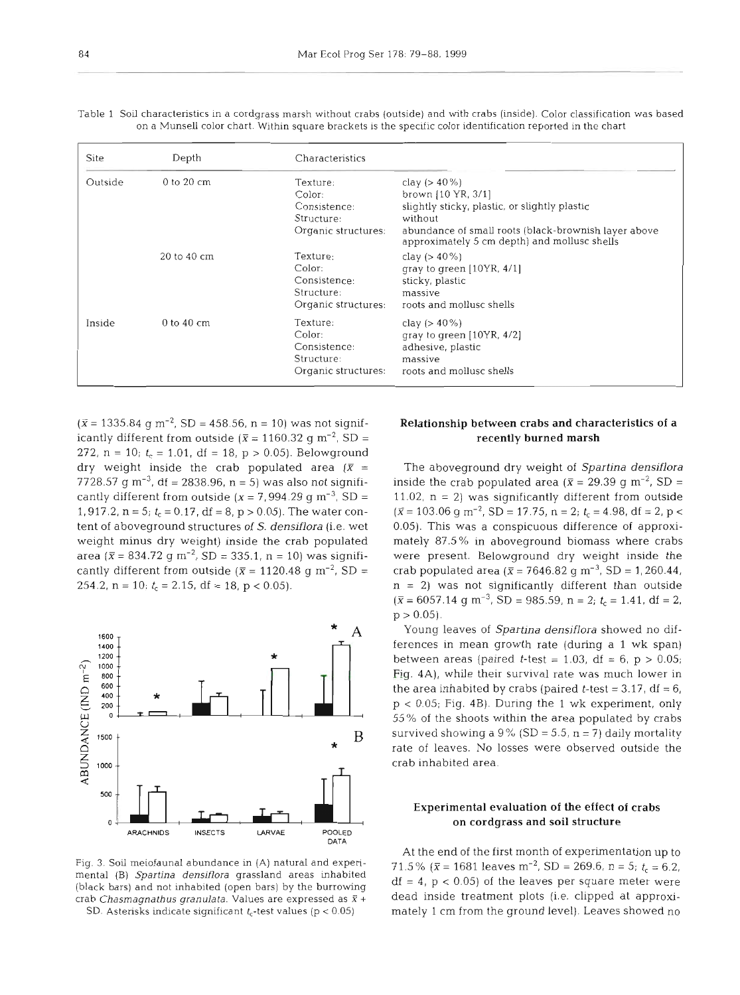| Site    | Depth                  | Characteristics                                                         |                                                                                                                                                                                                           |
|---------|------------------------|-------------------------------------------------------------------------|-----------------------------------------------------------------------------------------------------------------------------------------------------------------------------------------------------------|
| Outside | $0$ to $20 \text{ cm}$ | Texture:<br>Color:<br>Consistence:<br>Structure:<br>Organic structures: | clay $(> 40\%)$<br>brown [10 YR, 3/1]<br>slightly sticky, plastic, or slightly plastic<br>without<br>abundance of small roots (black-brownish layer above<br>approximately 5 cm depth) and mollusc shells |
|         | 20 to 40 cm            | Texture:<br>Color:<br>Consistence:<br>Structure:<br>Organic structures: | clay $(> 40\%)$<br>gray to green $[10YR, 4/1]$<br>sticky, plastic<br>massive<br>roots and mollusc shells                                                                                                  |
| Inside  | $0$ to $40$ cm         | Texture:<br>Color:<br>Consistence:<br>Structure:<br>Organic structures: | clay $(> 40\%)$<br>gray to green $[10\text{YR}, 4/2]$<br>adhesive, plastic<br>massive<br>roots and mollusc shells                                                                                         |

Table 1 Soil characteristics in a cordgrass marsh without crabs (outside) and with crabs (inside). Color classification was based on a Munsell color chart. Within square brackets is the specific color identification reported in the chart

 $(\bar{x} = 1335.84 \text{ g m}^{-2}, SD = 458.56, n = 10)$  was not significantly different from outside ( $\bar{x}$  = 1160.32 g m<sup>-2</sup>, SD = 272, n = 10;  $t_c = 1.01$ , df = 18, p > 0.05). Belowground dry weight inside the crab populated area  $(\bar{x} =$ 7728.57 g m<sup>-3</sup>, df = 2838.96, n = 5) was also not significantly different from outside  $(x = 7,994.29 \text{ g m}^{-3}, SD =$ 1,917.2,  $n = 5$ ;  $t_c = 0.17$ , df = 8,  $p > 0.05$ ). The water content of aboveground structures of S. *densiflora* (i.e. wet weight minus dry weight) inside the crab populated area ( $\bar{x}$  = 834.72 g m<sup>-2</sup>, SD = 335.1, n = 10) was significantly different from outside ( $\bar{x}$  = 1120.48 g m<sup>-2</sup>, SD = 254.2,  $n = 10$ ;  $t_c = 2.15$ , df = 18,  $p < 0.05$ ).



Fig. 3. Soil meiofaunal abundance in (A) natural and experimental (B) *Spartina densiflora* grassland areas inhabited (black bars) and not inhabited (open bars) by the burrowing crab *Chasmagnathus granulata*. Values are expressed as  $\bar{x}$  + SD. Asterisks indicate significant  $t_c$ -test values (p < 0.05)

# Relationship between crabs and characteristics of a recently burned marsh

The aboveground dry weight of Spartina *densiflora*  inside the crab populated area ( $\bar{x}$  = 29.39 g m<sup>-2</sup>, SD = 11.02,  $n = 2$ ) was significantly different from outside  $(\bar{x}=103.06 \text{ g m}^{-2}, SD=17.75, n=2; t_c=4.98, df=2, p<$ 0.05). This was a conspicuous difference of approximately 87.5% in aboveground biomass where crabs were present. Belowground dry weight inside the crab populated area ( $\bar{x}$  = 7646.82 g m<sup>-3</sup>, SD = 1, 260.44,  $n = 2$ ) was not significantly different than outside  $(\bar{x} = 6057.14 \text{ g m}^{-3}, SD = 985.59, n = 2; t_c = 1.41, df = 2,$  $p > 0.05$ .

Young leaves of *Spartina densiflora* showed no differences in mean growth rate (during a 1 wk span) between areas (paired *t*-test = 1.03, df = 6,  $p > 0.05$ ; Fig. 4A), while their survival rate was much lower in the area inhabited by crabs (paired t-test =  $3.17$ , df =  $6$ ,  $p < 0.05$ ; Fig. 4B). During the 1 wk experiment, only 55% of the shoots within the area populated by crabs survived showing a 9% (SD = 5.5,  $n = 7$ ) daily mortality rate of leaves. No losses were observed outside the crab inhabited area.

# Experimental evaluation of the effect of crabs on cordgrass and soil structure

At the end of the first month of experimentation up to 71.5% ( $\bar{x}$  = 1681 leaves m<sup>-2</sup>, SD = 269.6, n = 5;  $t_c$  = 6.2,  $df = 4$ ,  $p < 0.05$ ) of the leaves per square meter were dead inside treatment plots (i.e. clipped at approximately 1 cm from the ground level). Leaves showed no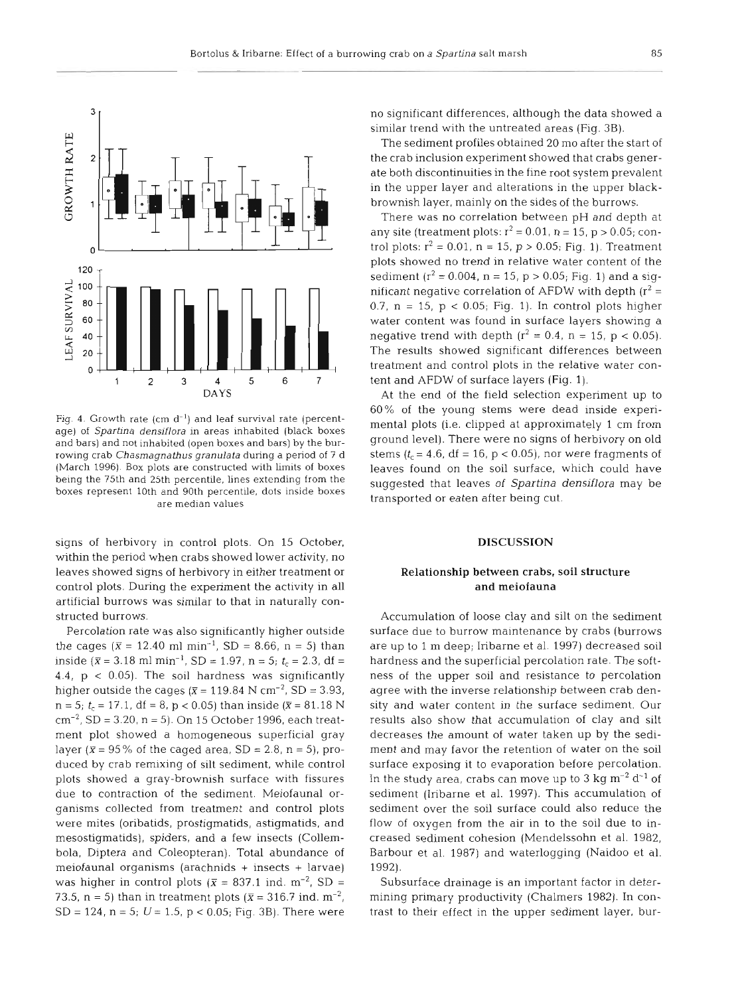

Fig. 4. Growth rate (cm  $d^{-1}$ ) and leaf survival rate (percentage) of Spartina densiflora in areas inhabited (black boxes and bars) and not inhabited (open boxes and bars) by the burrowing crab Chasmagnathus granulata during a period of **7** d (March 1996). Box plots are constructed with limits of boxes being the 75th and 25th percentile, lines extending from the boxes represent 10th and **90th** percentile, dots inside boxes are median values

signs of herbivory in control plots. On 15 October, within the period when crabs showed lower activity, no leaves showed signs of herbivory in either treatment or control plots. During the experiment the activity in all artificial burrows was similar to that in naturally constructed burrows.

Percolation rate was also significantly higher outside the cages ( $\bar{x}$  = 12.40 ml min<sup>-1</sup>, SD = 8.66, n = 5) than inside ( $\bar{x}$  = 3.18 ml min<sup>-1</sup>, SD = 1.97, n = 5;  $t_c$  = 2.3, df = 4.4,  $p < 0.05$ ). The soil hardness was significantly higher outside the cages  $(\bar{x} = 119.84 \text{ N cm}^{-2}, \text{SD} = 3.93,$  $n= 5$ ;  $t_c = 17.1$ , df = 8, p < 0.05) than inside ( $\bar{x} = 81.18$  N  $cm^{-2}$ , SD = 3.20, n = 5). On 15 October 1996, each treatment plot showed a homogeneous superficial gray layer ( $\bar{x}$  = 95% of the caged area, SD = 2.8, n = 5), produced by crab remixing of silt sediment, while control plots showed a gray-brownish surface with fissures due to contraction of the sediment. Meiofaunal organisms collected from treatment and control plots were mites (oribatids, prostigmatids, astigmatids, and mesostigmatids), spiders, and a few insects (Collembola, Diptera and Coleopteran). Total abundance of meiofaunal organisms (arachnids + insects + larvae) was higher in control plots ( $\bar{x}$  = 837.1 ind. m<sup>-2</sup>, SD = 73.5,  $n = 5$ ) than in treatment plots ( $\bar{x} = 316.7$  ind. m<sup>-2</sup>, SD = 124,  $n = 5$ ;  $U = 1.5$ ,  $p < 0.05$ ; Fig. 3B). There were

no significant differences, although the data showed a similar trend with the untreated areas (Fig. 3B).

The sediment profiles obtained 20 mo after the start of the crab inclusion experiment showed that crabs generate both discontinuities in the fine root system prevalent in the upper layer and alterations in the upper blackbrownish layer, mainly on the sides of the burrows.

There was no correlation between pH and depth at any site (treatment plots:  $r^2 = 0.01$ , n = 15, p > 0.05; control plots:  $r^2 = 0.01$ ,  $n = 15$ ,  $p > 0.05$ ; Fig. 1). Treatment plots showed no trend in relative water content of the sediment ( $r^2 = 0.004$ ,  $n = 15$ ,  $p > 0.05$ ; Fig. 1) and a significant negative correlation of AFDW with depth  $(r^2 =$ 0.7,  $n = 15$ ,  $p < 0.05$ ; Fig. 1). In control plots higher water content was found in surface layers showing a negative trend with depth  $(r^2 = 0.4, n = 15, p < 0.05)$ . The results showed significant differences between treatment and control plots in the relative water content and AFDW of surface layers (Fig. 1).

At the end of the field selection experiment up to 60% of the young stems were dead inside experimental plots (i.e. clipped at approximately 1 cm from ground level). There were no signs of herbivory on old stems  $(t_c = 4.6$ , df = 16, p < 0.05), nor were fragments of leaves found on the soil surface, which could have suggested that leaves of *Spartina densiflora* may be transported or eaten after being cut.

#### **DISCUSSION**

# Relationship between crabs, soil structure and meiofauna

Accumulation of loose clay and silt on the sediment surface due to burrow maintenance by crabs (burrows are up to 1 m deep; Iribarne et al. 1997) decreased soil hardness and the superficial percolation rate. The softness of the upper soil and resistance to percolation agree with the inverse relationship between crab density and water content in the surface sediment. Our results also show that accumulation of clay and silt decreases the amount of water taken up by the sediment and may favor the retention of water on the soil surface exposing it to evaporation before percolation. In the study area, crabs can move up to 3 kg  $m^{-2}$  d<sup>-1</sup> of sediment (Iribarne et al. 1997). This accumulation of sediment over the soil surface could also reduce the flow of oxygen from the air in to the soil due to increased sediment cohesion (Mendelssohn et al. 1982, Barbour et al. 1987) and waterlogging (Naidoo et al. 1992).

Subsurface drainage is an important factor in determining primary productivity (Chalmers 1982). In contrast to their effect in the upper sediment layer, bur-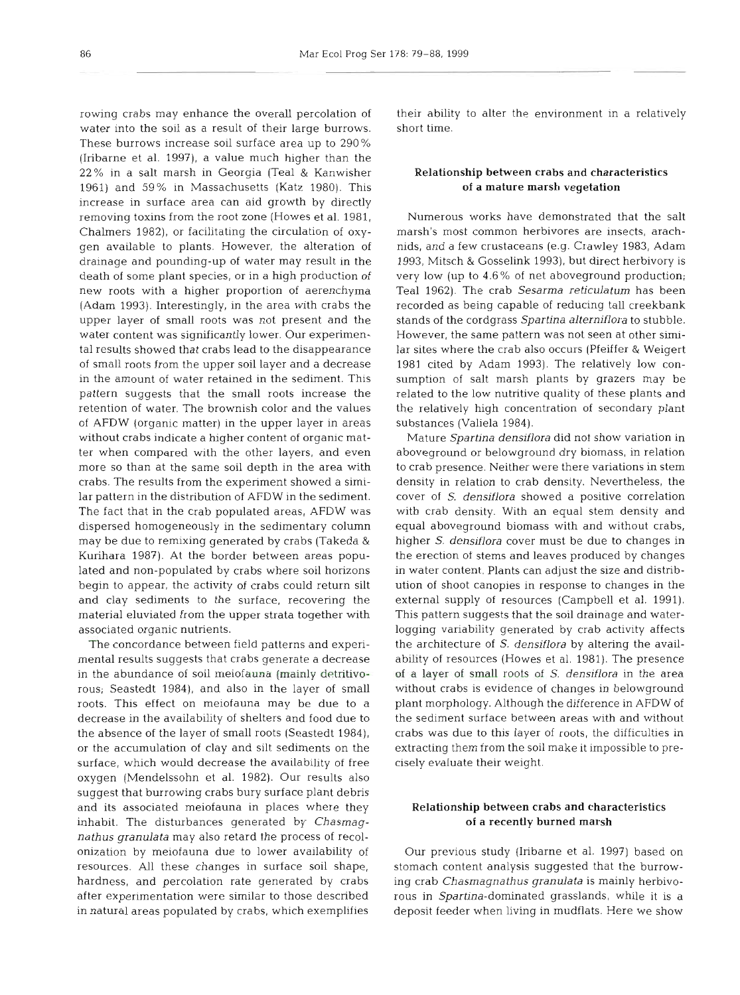rowing crabs may enhance the overall percolation of their ability to alter the environment in a relatively water into the soil as a result of their large burrows. short time. These burrows increase soil surface area up to 290% (Iribarne et al. 1997), a value much higher than the 22% in a salt marsh in Georgia (Teal & Kanwisher Relationship between crabs and characteristics 1961) and 59% in Massachusetts (Katz 1980). This **of a mature marsh vegetation** increase in surface area can aid growth by directly removing toxins from the root zone (Howes et al. 1981, Numerous works have demonstrated that the salt Chalmers 1982), or facilitating the circulation of oxy- marsh's most common herbivores are insects, arachgen available to plants. However, the alteration of nids, and a few crustaceans (e.g. Crawley 1983, Adam drainage and pounding-up of water may result in the 1993, Mitsch & Gosselink 1993), but direct herbivory is death of some plant species, or in a high production of very low (up to 4.6% of net aboveground production; new roots with a higher proportion of aerenchyma Teal 1962). The crab Sesarma reticulatum has been (Adam 1993). Interestingly, in the area with crabs the recorded as being capable of reducing tall creekbank upper layer of small roots was not present and the stands of the cordgrass Spartina alterniflora to stubble. water content was significantly lower. Our experimen-<br>However, the same pattern was not seen at other simital results showed that crabs lead to the disappearance lar sites where the crab also occurs (Pfeiffer & Weigert of small roots from the upper soil layer and a decrease 1981 cited by Adam 1993). The relatively low conin the amount of water retained in the sediment. This sumption of salt marsh plants by grazers may be pattern suggests that the small roots increase the related to the low nutritive quality of these plants and retention of water. The brownish color and the values the relatively high concentration of secondary plant of AFDW (organic matter) in the upper layer in areas substances (Valiela 1984). without crabs indicate a higher content of organic mat-<br>Mature Spartina densiflora did not show variation in ter when compared with the other layers, and even aboveground or belowground dry biomass, in relation more so than at the same soil depth in the area with to crab presence. Neither were there variations in stem crabs. The results from the experiment showed a simi- density in relation to crab density. Nevertheless, the lar pattern in the distribution of AFDW in the sediment. cover of S. densiflora showed a positive correlation The fact that in the crab populated areas, AFDW was with crab density. With an equal stem density and dispersed homogeneously in the sedimentary column equal aboveground biomass with and without crabs, may be due to remixing generated by crabs (Takeda & higher S. densiflora cover must be due to changes in Kurihara 1987). At the border between areas popu- the erection of stems and leaves produced by changes lated and non-populated by crabs where soil horizons in water content. Plants can adjust the size and distribbegin to appear, the activity of crabs could return silt ution of shoot canopies in response to changes in the and clay sediments to the surface, recovering the external supply of resources (Campbell et al. 1991). material eluviated from the upper strata together with This pattern suggests that the soil drainage and water-

mental results suggests that crabs generate a decrease ability of resources (Howes et al. 1981). The presence in the abundance of soil meiofauna (mainly detritivo- of a layer of small reets of S. densiflora in the area rous; Seastedt 1984), and also in the layer of small without crabs is evidence of changes in belowground roots. This effect on meiofauna may be due to a plant morphology. Although the difference in AFDW of decrease in the availability of shelters and food due to the sediment surface between areas with and without the absence of the layer of small roots (Seastedt 1984), crabs was due to this layer of roots, the difficulties in or the accumulation of clay and silt sediments on the extracting them from the soil make it impossible to presurface, which would decrease the availability of free cisely evaluate their weight. oxygen (Mendelssohn et al. 1982). Our results also suggest that burrowing crabs bury surface plant debris and its associated meiofauna in places where they **Relationship between crabs and characteristics** inhabit. The disturbances generated by Chasmag- of a recently burned marsh nathus granulata may also retard the process of recolonization by meiofauna due to lower availability of Our previous study (Iribarne et al. 1997) based on resources. All these changes in surface soil shape, stomach content analysis suggested that the burrowhardness, and percolation rate generated by crabs ing crab Chasmagnathus granulata is mainly herbivoafter experimentation were similar to those described rous in Spartina-dominated grasslands, while it is a in natural areas populated by crabs, which exemplifies deposit feeder when living in mudflats. Here we show

associated organic nutrients. logging variability generated by crab activity affects The concordance between field patterns and experi-<br>the architecture of S. densiflora by altering the avail-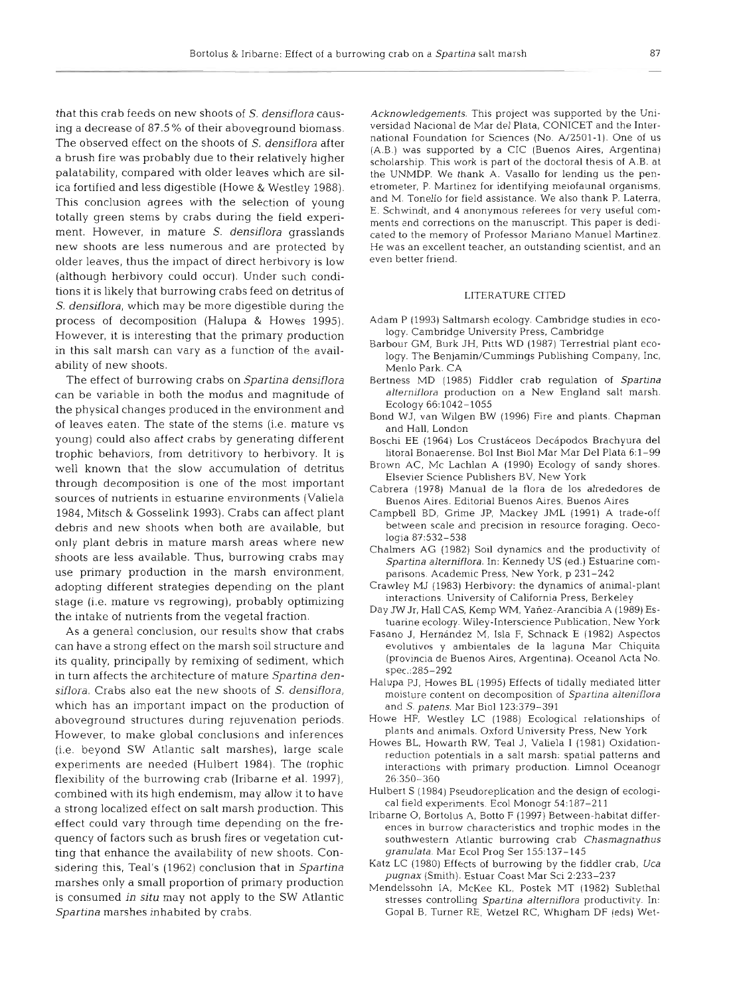that this crab feeds on new shoots of *S. denslflora* causing a decrease of 87.5 % of their aboveground biomass. The observed effect on the shoots of S. *densiflora* after a brush fire was probably due to their relatively higher palatability, compared with older leaves which are silica fortified and less digestible (Howe & Westley 1988). This conclusion agrees with the selection of young totally green stems by crabs during the field experiment. However, in mature *S. densiflora* grasslands new shoots are less numerous and are protected by older leaves, thus the impact of direct herbivory is low (although herbivory could occur). Under such conditions it is likely that burrowing crabs feed on detritus of S, *densiflora,* which may be more digestible during the process of decomposition (Halupa & Howes 1995). However, it is interesting that the primary production in this salt marsh can vary as a function of the availability of new shoots.

The effect of burrowing crabs on *Spartina densiflora*  can be variable in both the modus and magnitude of the physical changes produced in the environment and of leaves eaten. The state of the stems (i.e. mature vs young) could also affect crabs by generating different trophic behaviors, from detritivory to herbivory. It is well known that the slow accumulation of detritus through decomposition is one of the most important sources of nutrients in estuarine environments (Valiela 1984, Mitsch & Gosselink 1993). Crabs can affect plant debris and new shoots when both are available, but only plant debris in mature marsh areas where new shoots are less available. Thus, burrowing crabs may use primary production in the marsh environment, adopting different strategies depending on the plant stage (i.e. mature vs regrowing), probably optimizing the intake of nutrients from the vegetal fraction.

As a general conclusion, our results show that crabs can have a strong effect on the marsh soil structure and its quality, principally by remixing of sediment, which in turn affects the architecture of mature *Spartina densiflora.* Crabs also eat the new shoots of S. *densiflora,*  which has an important impact on the production of aboveground structures during rejuvenation periods. However, to make global conclusions and inferences (i.e. beyond SW Atlantic salt marshes), large scale experiments are needed (Hulbert 1984). The trophic flexibility of the burrowing crab (Iribarne et al. 1997), combined with its high endemism, may allow it to have a strong localized effect on salt marsh production. This effect could vary through time depending on the frequency of factors such as brush fires or vegetation cutting that enhance the availability of new shoots. Considering this, Teal's (1962) conclusion that in *Spartina*  marshes only *a* small proportion of primary production is consumed *in* **situ** may not apply to the SW Atlantic *Spartina* marshes inhabited by crabs.

Acknowledgements. This project was supported by the Universidad Nacional de Mar del Plata, CONICET and the International Foundation for Sciences (No. A/2501-1). One of us (A.B.) was supported by a CIC (Buenos Aires. Argentina) scholarship. This work is part of the doctoral thesis of A.B. at the UNMDP. We thank A. Vasallo for lending us the penetrometer. P. Martinez for identifying meiofaunal organisms, and M. Tonello for field assistance. We also thank P. Laterra, E. Schwindt, and 4 anonymous referees for very useful comments and corrections on the manuscript. This paper is dedicated to the memory of Professor Mariano Manuel Martinez. He was an excellent teacher, an outstanding scientist, and an even better friend.

#### LITERATURE CITED

- Adam P (1993) Saltmarsh ecology. Cambridge studies in ecology. Cambridge University Press. Cambridge
- Barbour GM, Burk JH, Pitts WD (1987) Terrestrial plant ecology. The Benjamin/Cummings Publishing Company, Inc, Men10 Park. CA
- Bertness MD (1985) Fiddler crab regulation of Spartina alterniflora production on a New England salt marsh. Ecology 66:1042-1055
- Bond WJ. van Wilgen BW (1996) Fire and plants. Chapman and Hall, London
- Boschi EE (1964) Los Crustáceos Decápodos Brachyura del litoral Bonaerense. Bol Inst Biol Mar Mar Del Plata 6:1-99
- Brown AC, MC Lachlan A (1990) Ecology of sandy shores. Elsevier Science Publishers BV, New York
- Cabrera (1978) Manual de la flora de 10s alrededores de Buenos Aires. Editorial Buenos Aires, Buenos Aires
- Campbell BD, Grime JP, Mackey JML (1991) A trade-off between scale and precision in resource foraging. Oecologia 87:532-538
- Chalrners AG (1982) Soil dynamics and the productivity of Spartina alterniflora. In: Kennedy US (ed.) Estuarine comparisons. Academic Press, New York, p 231-242
- Crawley MJ (1983) Herbivory: the dynamics of animal-plant interactions. University of California Press, Berkeley
- Day JW Jr, Hall CAS, Kemp WM. Yanez-Arancibia A (1989) Estuarine ecology. Wiley-lnterscience Publication, New York
- Fasano J, Hernández M, Isla F, Schnack E (1982) Aspectos evolutivos y ambientales de la laguna Mar Chiquita (provincia de Buenos Aires, Argentina). Oceanol Acta No. spec.:285-292
- Halupa PJ, Howes BL (1995) Effects of tidally mediated litter moisture content on decomposition of Spartina alteniflora and S. patens. Mar Biol 123:379-391
- Howe HF, Westley LC (1988) Ecological relationships of plants and animals. Oxford University Press, New York
- Howes BL, Howarth RW, Teal J, Valiela I (1981) Oxidationreduction potentials in a salt marsh: spatial patterns and interactions with primary production. Limnol Oceanogr 26:350-360
- Hulbert S (1984) Pseudoreplication and the design of ecological field experiments. Ecol Monogr 54:18?-211
- Iribarne 0, Bortolus A, Botto F (1997) Between-habitat differences in burrow characteristics and trophic modes in the southwestern Atlantic burrowing crab Chasmagnathus granulata. Mar Ecol Prog Ser 155:137-145
- Katz LC (1980) Effects of burrowing by the fiddler crab, Uca pugnax (Smith). Estuar Coast Mar Sci 2:233-237
- Mendelssohn IA, McKee KL, Postek MT (1982) Sublethal stresses controlling Spartina alterniflora productivity. In: Gopal B, Turner RE. Wetzel RC, Whigham DF (eds) Wet-